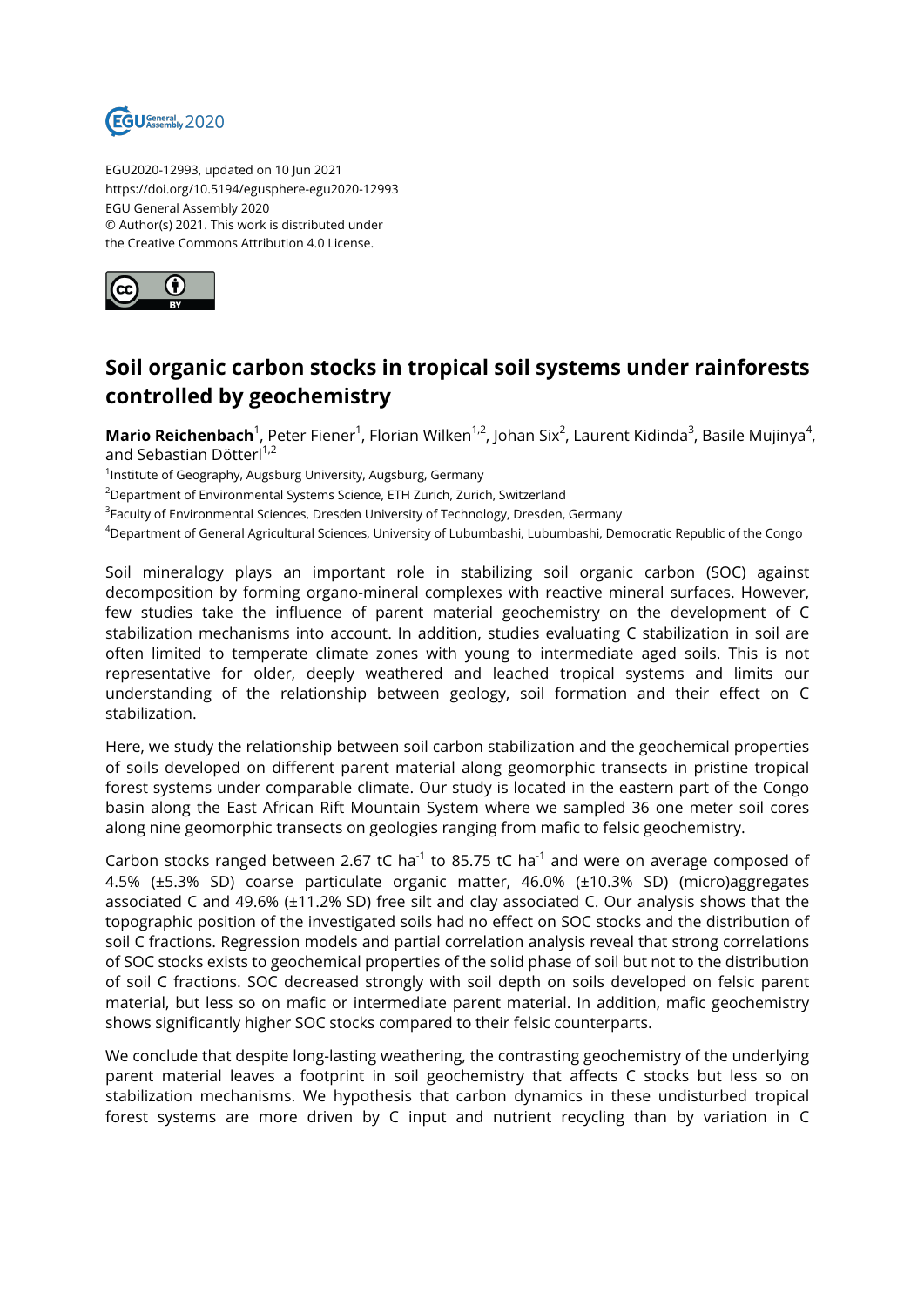

EGU2020-12993, updated on 10 Jun 2021 https://doi.org/10.5194/egusphere-egu2020-12993 EGU General Assembly 2020 © Author(s) 2021. This work is distributed under the Creative Commons Attribution 4.0 License.



## **Soil organic carbon stocks in tropical soil systems under rainforests controlled by geochemistry**

**Mario Reichenbach**<sup>1</sup>, Peter Fiener<sup>1</sup>, Florian Wilken<sup>1,2</sup>, Johan Six<sup>2</sup>, Laurent Kidinda<sup>3</sup>, Basile Mujinya<sup>4</sup>, and Sebastian Dötterl<sup>1,2</sup>

<sup>1</sup>Institute of Geography, Augsburg University, Augsburg, Germany

<sup>2</sup>Department of Environmental Systems Science, ETH Zurich, Zurich, Switzerland

 $^3$ Faculty of Environmental Sciences, Dresden University of Technology, Dresden, Germany

<sup>4</sup>Department of General Agricultural Sciences, University of Lubumbashi, Lubumbashi, Democratic Republic of the Congo

Soil mineralogy plays an important role in stabilizing soil organic carbon (SOC) against decomposition by forming organo-mineral complexes with reactive mineral surfaces. However, few studies take the influence of parent material geochemistry on the development of C stabilization mechanisms into account. In addition, studies evaluating C stabilization in soil are often limited to temperate climate zones with young to intermediate aged soils. This is not representative for older, deeply weathered and leached tropical systems and limits our understanding of the relationship between geology, soil formation and their effect on C stabilization.

Here, we study the relationship between soil carbon stabilization and the geochemical properties of soils developed on different parent material along geomorphic transects in pristine tropical forest systems under comparable climate. Our study is located in the eastern part of the Congo basin along the East African Rift Mountain System where we sampled 36 one meter soil cores along nine geomorphic transects on geologies ranging from mafic to felsic geochemistry.

Carbon stocks ranged between 2.67 tC ha<sup>-1</sup> to 85.75 tC ha<sup>-1</sup> and were on average composed of 4.5% (±5.3% SD) coarse particulate organic matter, 46.0% (±10.3% SD) (micro)aggregates associated C and 49.6% (±11.2% SD) free silt and clay associated C. Our analysis shows that the topographic position of the investigated soils had no effect on SOC stocks and the distribution of soil C fractions. Regression models and partial correlation analysis reveal that strong correlations of SOC stocks exists to geochemical properties of the solid phase of soil but not to the distribution of soil C fractions. SOC decreased strongly with soil depth on soils developed on felsic parent material, but less so on mafic or intermediate parent material. In addition, mafic geochemistry shows significantly higher SOC stocks compared to their felsic counterparts.

We conclude that despite long-lasting weathering, the contrasting geochemistry of the underlying parent material leaves a footprint in soil geochemistry that affects C stocks but less so on stabilization mechanisms. We hypothesis that carbon dynamics in these undisturbed tropical forest systems are more driven by C input and nutrient recycling than by variation in C